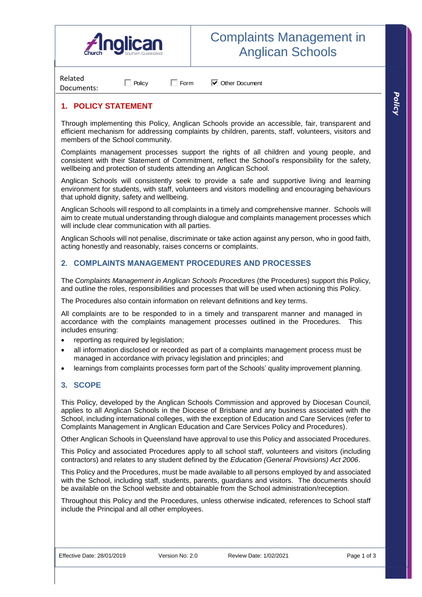

# Complaints Management in Anglican Schools

Related Documents:

 $\Box$  Policy  $\Box$  Form

**V** Other Document

# **1. POLICY STATEMENT**

Through implementing this Policy, Anglican Schools provide an accessible, fair, transparent and efficient mechanism for addressing complaints by children, parents, staff, volunteers, visitors and members of the School community.

Complaints management processes support the rights of all children and young people, and consistent with their Statement of Commitment, reflect the School's responsibility for the safety, wellbeing and protection of students attending an Anglican School.

Anglican Schools will consistently seek to provide a safe and supportive living and learning environment for students, with staff, volunteers and visitors modelling and encouraging behaviours that uphold dignity, safety and wellbeing.

Anglican Schools will respond to all complaints in a timely and comprehensive manner. Schools will aim to create mutual understanding through dialogue and complaints management processes which will include clear communication with all parties.

Anglican Schools will not penalise, discriminate or take action against any person, who in good faith, acting honestly and reasonably, raises concerns or complaints.

# **2. COMPLAINTS MANAGEMENT PROCEDURES AND PROCESSES**

The *Complaints Management in Anglican Schools Procedures* (the Procedures) support this Policy, and outline the roles, responsibilities and processes that will be used when actioning this Policy.

The Procedures also contain information on relevant definitions and key terms.

All complaints are to be responded to in a timely and transparent manner and managed in accordance with the complaints management processes outlined in the Procedures. This includes ensuring:

- reporting as required by legislation;
- all information disclosed or recorded as part of a complaints management process must be managed in accordance with privacy legislation and principles; and
- learnings from complaints processes form part of the Schools' quality improvement planning.

# **3. SCOPE**

This Policy, developed by the Anglican Schools Commission and approved by Diocesan Council, applies to all Anglican Schools in the Diocese of Brisbane and any business associated with the School, including international colleges, with the exception of Education and Care Services (refer to Complaints Management in Anglican Education and Care Services Policy and Procedures).

Other Anglican Schools in Queensland have approval to use this Policy and associated Procedures.

This Policy and associated Procedures apply to all school staff, volunteers and visitors (including contractors) and relates to any student defined by the *Education (General Provisions) Act 2006*.

This Policy and the Procedures, must be made available to all persons employed by and associated with the School, including staff, students, parents, guardians and visitors. The documents should be available on the School website and obtainable from the School administration/reception.

Throughout this Policy and the Procedures, unless otherwise indicated, references to School staff include the Principal and all other employees.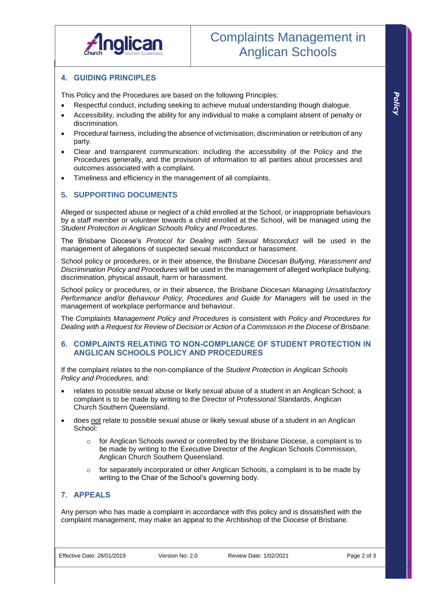

## **4. GUIDING PRINCIPLES**

This Policy and the Procedures are based on the following Principles:

- Respectful conduct, including seeking to achieve mutual understanding though dialogue.
- Accessibility, including the ability for any individual to make a complaint absent of penalty or discrimination.
- Procedural fairness, including the absence of victimisation, discrimination or retribution of any party.
- Clear and transparent communication: including the accessibility of the Policy and the Procedures generally, and the provision of information to all parities about processes and outcomes associated with a complaint.
- Timeliness and efficiency in the management of all complaints.

# **5. SUPPORTING DOCUMENTS**

Alleged or suspected abuse or neglect of a child enrolled at the School, or inappropriate behaviours by a staff member or volunteer towards a child enrolled at the School, will be managed using the *Student Protection in Anglican Schools Policy and Procedures.*

The Brisbane Diocese's *Protocol for Dealing with Sexual Misconduct* will be used in the management of allegations of suspected sexual misconduct or harassment.

School policy or procedures, or in their absence, the Brisbane *Diocesan Bullying, Harassment and Discrimination Policy and Procedures* will be used in the management of alleged workplace bullying, discrimination, physical assault, harm or harassment.

School policy or procedures, or in their absence, the Brisbane *Diocesan Managing Unsatisfactory Performance and/or Behaviour Policy, Procedures and Guide for Managers* will be used in the management of workplace performance and behaviour.

The *Complaints Management Policy and Procedures* is consistent with *Policy and Procedures for Dealing with a Request for Review of Decision or Action of a Commission in the Diocese of Brisbane.*

## **6. COMPLAINTS RELATING TO NON-COMPLIANCE OF STUDENT PROTECTION IN ANGLICAN SCHOOLS POLICY AND PROCEDURES**

If the complaint relates to the non-compliance of the *Student Protection in Anglican Schools Policy and Procedures,* and:

- relates to possible sexual abuse or likely sexual abuse of a student in an Anglican School; a complaint is to be made by writing to the Director of Professional Standards, Anglican Church Southern Queensland.
- does not relate to possible sexual abuse or likely sexual abuse of a student in an Anglican School:
	- $\circ$  for Anglican Schools owned or controlled by the Brisbane Diocese, a complaint is to be made by writing to the Executive Director of the Anglican Schools Commission, Anglican Church Southern Queensland.
	- $\circ$  for separately incorporated or other Anglican Schools, a complaint is to be made by writing to the Chair of the School's governing body.

# **7. APPEALS**

Any person who has made a complaint in accordance with this policy and is dissatisfied with the complaint management, may make an appeal to the Archbishop of the Diocese of Brisbane.